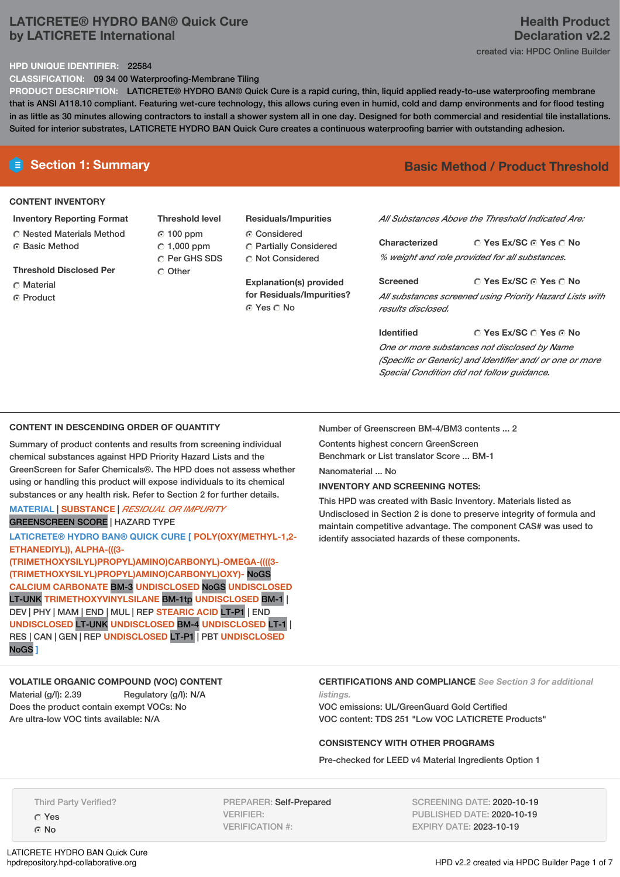## **LATICRETE® HYDRO BAN® Quick Cure by LATICRETE International**

# **Health Product Declaration v2.2** created via: HPDC Online Builder

#### **HPD UNIQUE IDENTIFIER:** 22584

**CLASSIFICATION:** 09 34 00 Waterproofing-Membrane Tiling

**PRODUCT DESCRIPTION:** LATICRETE® HYDRO BAN® Quick Cure is a rapid curing, thin, liquid applied ready-to-use waterproofing membrane that is ANSI A118.10 compliant. Featuring wet-cure technology, this allows curing even in humid, cold and damp environments and for flood testing in as little as 30 minutes allowing contractors to install a shower system all in one day. Designed for both commercial and residential tile installations. Suited for interior substrates, LATICRETE HYDRO BAN Quick Cure creates a continuous waterproofing barrier with outstanding adhesion.

#### **CONTENT INVENTORY**

**Inventory Reporting Format** Nested Materials Method **G** Basic Method

**Threshold Disclosed Per**

- Material
- ⊙ Product

**Threshold level** 100 ppm  $\degree$  1,000 ppm C Per GHS SDS C Other

**Residuals/Impurities** Considered Partially Considered Not Considered

**Explanation(s) provided for Residuals/Impurities?** © Yes ∩ No

# **E** Section 1: Summary **Basic** Method **/** Product Threshold

*All Substances Above the Threshold Indicated Are:*

**Yes Ex/SC Yes No Characterized** *% weight and role provided for all substances.*

**Yes Ex/SC Yes No Screened** *All substances screened using Priority Hazard Lists with results disclosed.*

**Yes Ex/SC Yes No Identified** *One or more substances not disclosed by Name (Specific or Generic) and Identifier and/ or one or more Special Condition did not follow guidance.*

## **CONTENT IN DESCENDING ORDER OF QUANTITY**

Summary of product contents and results from screening individual chemical substances against HPD Priority Hazard Lists and the GreenScreen for Safer Chemicals®. The HPD does not assess whether using or handling this product will expose individuals to its chemical substances or any health risk. Refer to Section 2 for further details.

## **MATERIAL** | **SUBSTANCE** | *RESIDUAL OR IMPURITY* GREENSCREEN SCORE | HAZARD TYPE

**LATICRETE® HYDRO BAN® QUICK CURE [ POLY(OXY(METHYL-1,2- ETHANEDIYL)), ALPHA-(((3- (TRIMETHOXYSILYL)PROPYL)AMINO)CARBONYL)-OMEGA-((((3-**

**(TRIMETHOXYSILYL)PROPYL)AMINO)CARBONYL)OXY)-** NoGS **CALCIUM CARBONATE** BM-3 **UNDISCLOSED** NoGS **UNDISCLOSED** LT-UNK **TRIMETHOXYVINYLSILANE** BM-1tp **UNDISCLOSED** BM-1 | DEV | PHY | MAM |END | MUL | REP **STEARIC ACID** LT-P1 | END **UNDISCLOSED** LT-UNK **UNDISCLOSED** BM-4 **UNDISCLOSED** LT-1 | RES | CAN | GEN | REP **UNDISCLOSED** LT-P1 | PBT **UNDISCLOSED** NoGS **]**

Number of Greenscreen BM-4/BM3 contents ... 2

Contents highest concern GreenScreen Benchmark or List translator Score ... BM-1

Nanomaterial ... No

*listings.*

## **INVENTORY AND SCREENING NOTES:**

This HPD was created with Basic Inventory. Materials listed as Undisclosed in Section 2 is done to preserve integrity of formula and maintain competitive advantage. The component CAS# was used to identify associated hazards of these components.

## **VOLATILE ORGANIC COMPOUND (VOC) CONTENT**

Material (g/l): 2.39 Regulatory (g/l): N/A Does the product contain exempt VOCs: No Are ultra-low VOC tints available: N/A

**CERTIFICATIONS AND COMPLIANCE** *See Section 3 for additional*

VOC emissions: UL/GreenGuard Gold Certified VOC content: TDS 251 "Low VOC LATICRETE Products"

## **CONSISTENCY WITH OTHER PROGRAMS**

Pre-checked for LEED v4 Material Ingredients Option 1

Third Party Verified?

Yes G No

LATICRETE HYDRO BAN Quick Cure<br>hpdrepository.hpd-collaborative.org

PREPARER: Self-Prepared VERIFIER: VERIFICATION #:

SCREENING DATE: 2020-10-19 PUBLISHED DATE: 2020-10-19 EXPIRY DATE: 2023-10-19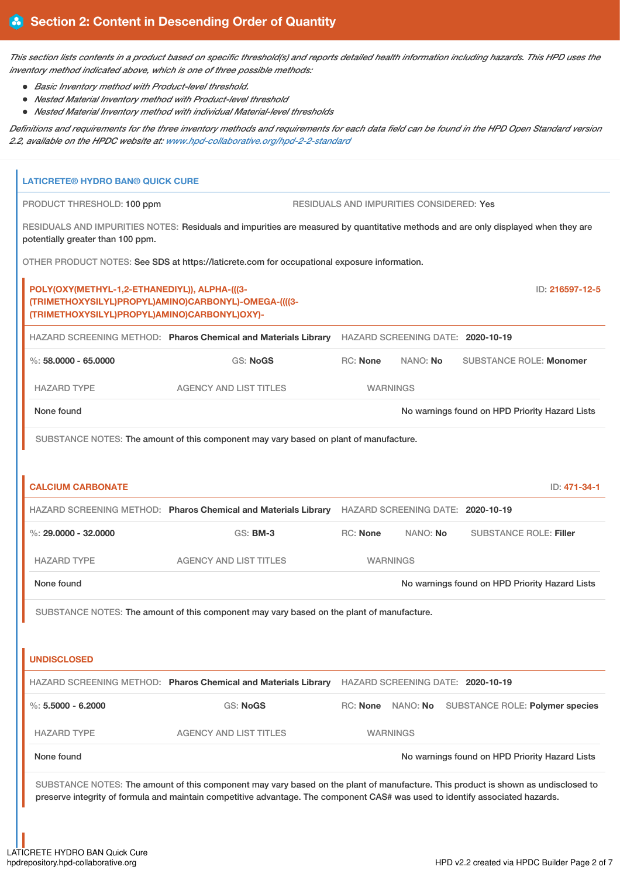This section lists contents in a product based on specific threshold(s) and reports detailed health information including hazards. This HPD uses the *inventory method indicated above, which is one of three possible methods:*

- *Basic Inventory method with Product-level threshold.*
- *Nested Material Inventory method with Product-level threshold*
- *Nested Material Inventory method with individual Material-level thresholds*

Definitions and requirements for the three inventory methods and requirements for each data field can be found in the HPD Open Standard version *2.2, available on the HPDC website at: [www.hpd-collaborative.org/hpd-2-2-standard](https://www.hpd-collaborative.org/hpd-2-2-standard)*

| <b>LATICRETE® HYDRO BAN® QUICK CURE</b>                                                                                                               |                                                                                                                                                                                                                                                                    |                 |                                          |                                                |                 |
|-------------------------------------------------------------------------------------------------------------------------------------------------------|--------------------------------------------------------------------------------------------------------------------------------------------------------------------------------------------------------------------------------------------------------------------|-----------------|------------------------------------------|------------------------------------------------|-----------------|
| PRODUCT THRESHOLD: 100 ppm                                                                                                                            |                                                                                                                                                                                                                                                                    |                 | RESIDUALS AND IMPURITIES CONSIDERED: Yes |                                                |                 |
| potentially greater than 100 ppm.                                                                                                                     | RESIDUALS AND IMPURITIES NOTES: Residuals and impurities are measured by quantitative methods and are only displayed when they are                                                                                                                                 |                 |                                          |                                                |                 |
|                                                                                                                                                       | OTHER PRODUCT NOTES: See SDS at https://laticrete.com for occupational exposure information.                                                                                                                                                                       |                 |                                          |                                                |                 |
| POLY(OXY(METHYL-1,2-ETHANEDIYL)), ALPHA-(((3-<br>(TRIMETHOXYSILYL)PROPYL)AMINO)CARBONYL)-OMEGA-((((3-<br>(TRIMETHOXYSILYL)PROPYL)AMINO)CARBONYL)OXY)- |                                                                                                                                                                                                                                                                    |                 |                                          |                                                | ID: 216597-12-5 |
|                                                                                                                                                       | HAZARD SCREENING METHOD: Pharos Chemical and Materials Library                                                                                                                                                                                                     |                 | HAZARD SCREENING DATE: 2020-10-19        |                                                |                 |
| $\%$ : 58.0000 - 65.0000                                                                                                                              | <b>GS: NoGS</b>                                                                                                                                                                                                                                                    | <b>RC: None</b> | NANO: No                                 | <b>SUBSTANCE ROLE: Monomer</b>                 |                 |
| <b>HAZARD TYPE</b>                                                                                                                                    | <b>AGENCY AND LIST TITLES</b>                                                                                                                                                                                                                                      |                 | <b>WARNINGS</b>                          |                                                |                 |
| None found                                                                                                                                            |                                                                                                                                                                                                                                                                    |                 |                                          | No warnings found on HPD Priority Hazard Lists |                 |
|                                                                                                                                                       | SUBSTANCE NOTES: The amount of this component may vary based on plant of manufacture.                                                                                                                                                                              |                 |                                          |                                                |                 |
|                                                                                                                                                       |                                                                                                                                                                                                                                                                    |                 |                                          |                                                |                 |
| <b>CALCIUM CARBONATE</b>                                                                                                                              |                                                                                                                                                                                                                                                                    |                 |                                          |                                                | ID: 471-34-1    |
|                                                                                                                                                       | HAZARD SCREENING METHOD: Pharos Chemical and Materials Library HAZARD SCREENING DATE: 2020-10-19                                                                                                                                                                   |                 |                                          |                                                |                 |
| %: $29,0000 - 32,0000$                                                                                                                                | <b>GS: BM-3</b>                                                                                                                                                                                                                                                    | <b>RC: None</b> | NANO: No                                 | <b>SUBSTANCE ROLE: Filler</b>                  |                 |
| <b>HAZARD TYPE</b>                                                                                                                                    | <b>AGENCY AND LIST TITLES</b>                                                                                                                                                                                                                                      |                 | <b>WARNINGS</b>                          |                                                |                 |
| None found                                                                                                                                            |                                                                                                                                                                                                                                                                    |                 |                                          | No warnings found on HPD Priority Hazard Lists |                 |
|                                                                                                                                                       | SUBSTANCE NOTES: The amount of this component may vary based on the plant of manufacture.                                                                                                                                                                          |                 |                                          |                                                |                 |
|                                                                                                                                                       |                                                                                                                                                                                                                                                                    |                 |                                          |                                                |                 |
| <b>UNDISCLOSED</b>                                                                                                                                    |                                                                                                                                                                                                                                                                    |                 |                                          |                                                |                 |
|                                                                                                                                                       | HAZARD SCREENING METHOD: Pharos Chemical and Materials Library                                                                                                                                                                                                     |                 | HAZARD SCREENING DATE: 2020-10-19        |                                                |                 |
| %: $5.5000 - 6.2000$                                                                                                                                  | <b>GS: NoGS</b>                                                                                                                                                                                                                                                    |                 | RC: None NANO: No                        | <b>SUBSTANCE ROLE: Polymer species</b>         |                 |
| <b>HAZARD TYPE</b>                                                                                                                                    | <b>AGENCY AND LIST TITLES</b>                                                                                                                                                                                                                                      |                 | <b>WARNINGS</b>                          |                                                |                 |
| None found                                                                                                                                            |                                                                                                                                                                                                                                                                    |                 |                                          | No warnings found on HPD Priority Hazard Lists |                 |
|                                                                                                                                                       | SUBSTANCE NOTES: The amount of this component may vary based on the plant of manufacture. This product is shown as undisclosed to<br>preserve integrity of formula and maintain competitive advantage. The component CAS# was used to identify associated hazards. |                 |                                          |                                                |                 |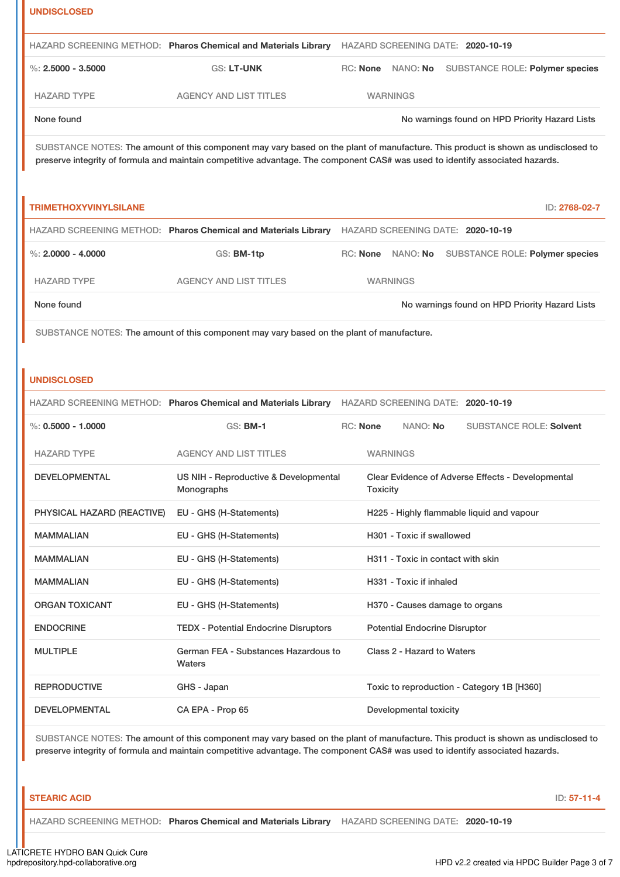| <b>UNDISCLOSED</b>                                                                        |                                                                                                                                                                                                                                                                    |                 |          |                                                   |  |                                |                                                |
|-------------------------------------------------------------------------------------------|--------------------------------------------------------------------------------------------------------------------------------------------------------------------------------------------------------------------------------------------------------------------|-----------------|----------|---------------------------------------------------|--|--------------------------------|------------------------------------------------|
|                                                                                           | HAZARD SCREENING METHOD: Pharos Chemical and Materials Library                                                                                                                                                                                                     |                 |          | HAZARD SCREENING DATE: 2020-10-19                 |  |                                |                                                |
| $\%$ : 2.5000 - 3.5000                                                                    | <b>GS: LT-UNK</b>                                                                                                                                                                                                                                                  |                 |          | RC: None NANO: No                                 |  |                                | SUBSTANCE ROLE: Polymer species                |
| <b>HAZARD TYPE</b>                                                                        | <b>AGENCY AND LIST TITLES</b>                                                                                                                                                                                                                                      |                 |          | <b>WARNINGS</b>                                   |  |                                |                                                |
| None found                                                                                |                                                                                                                                                                                                                                                                    |                 |          |                                                   |  |                                | No warnings found on HPD Priority Hazard Lists |
|                                                                                           | SUBSTANCE NOTES: The amount of this component may vary based on the plant of manufacture. This product is shown as undisclosed to<br>preserve integrity of formula and maintain competitive advantage. The component CAS# was used to identify associated hazards. |                 |          |                                                   |  |                                |                                                |
| <b>TRIMETHOXYVINYLSILANE</b>                                                              |                                                                                                                                                                                                                                                                    |                 |          |                                                   |  |                                | ID: 2768-02-7                                  |
|                                                                                           | HAZARD SCREENING METHOD: Pharos Chemical and Materials Library HAZARD SCREENING DATE: 2020-10-19                                                                                                                                                                   |                 |          |                                                   |  |                                |                                                |
| %: $2,0000 - 4,0000$                                                                      | GS: BM-1tp                                                                                                                                                                                                                                                         |                 |          | RC: None NANO: No                                 |  |                                | SUBSTANCE ROLE: Polymer species                |
| <b>HAZARD TYPE</b>                                                                        | <b>AGENCY AND LIST TITLES</b>                                                                                                                                                                                                                                      |                 |          | <b>WARNINGS</b>                                   |  |                                |                                                |
| None found                                                                                |                                                                                                                                                                                                                                                                    |                 |          |                                                   |  |                                | No warnings found on HPD Priority Hazard Lists |
| SUBSTANCE NOTES: The amount of this component may vary based on the plant of manufacture. |                                                                                                                                                                                                                                                                    |                 |          |                                                   |  |                                |                                                |
|                                                                                           |                                                                                                                                                                                                                                                                    |                 |          |                                                   |  |                                |                                                |
| <b>UNDISCLOSED</b>                                                                        |                                                                                                                                                                                                                                                                    |                 |          |                                                   |  |                                |                                                |
|                                                                                           | HAZARD SCREENING METHOD: Pharos Chemical and Materials Library HAZARD SCREENING DATE: 2020-10-19                                                                                                                                                                   |                 |          |                                                   |  |                                |                                                |
| $\%$ : 0.5000 - 1.0000                                                                    | <b>GS: BM-1</b>                                                                                                                                                                                                                                                    | <b>RC: None</b> |          | NANO: No                                          |  | <b>SUBSTANCE ROLE: Solvent</b> |                                                |
| <b>HAZARD TYPE</b>                                                                        | <b>AGENCY AND LIST TITLES</b>                                                                                                                                                                                                                                      |                 |          | <b>WARNINGS</b>                                   |  |                                |                                                |
| <b>DEVELOPMENTAL</b>                                                                      | US NIH - Reproductive & Developmental<br>Monographs                                                                                                                                                                                                                |                 | Toxicity | Clear Evidence of Adverse Effects - Developmental |  |                                |                                                |
| PHYSICAL HAZARD (REACTIVE)                                                                | EU - GHS (H-Statements)                                                                                                                                                                                                                                            |                 |          | H225 - Highly flammable liquid and vapour         |  |                                |                                                |
| <b>MAMMALIAN</b>                                                                          | EU - GHS (H-Statements)                                                                                                                                                                                                                                            |                 |          | H301 - Toxic if swallowed                         |  |                                |                                                |
| <b>MAMMALIAN</b>                                                                          | EU - GHS (H-Statements)                                                                                                                                                                                                                                            |                 |          | H311 - Toxic in contact with skin                 |  |                                |                                                |
| <b>MAMMALIAN</b>                                                                          | EU - GHS (H-Statements)                                                                                                                                                                                                                                            |                 |          | H331 - Toxic if inhaled                           |  |                                |                                                |
| <b>ORGAN TOXICANT</b>                                                                     | EU - GHS (H-Statements)                                                                                                                                                                                                                                            |                 |          | H370 - Causes damage to organs                    |  |                                |                                                |
| <b>ENDOCRINE</b>                                                                          | <b>TEDX - Potential Endocrine Disruptors</b>                                                                                                                                                                                                                       |                 |          | <b>Potential Endocrine Disruptor</b>              |  |                                |                                                |
| <b>MULTIPLE</b>                                                                           | German FEA - Substances Hazardous to<br>Waters                                                                                                                                                                                                                     |                 |          | Class 2 - Hazard to Waters                        |  |                                |                                                |
| <b>REPRODUCTIVE</b>                                                                       | GHS - Japan                                                                                                                                                                                                                                                        |                 |          | Toxic to reproduction - Category 1B [H360]        |  |                                |                                                |

SUBSTANCE NOTES: The amount of this component may vary based on the plant of manufacture. This product is shown as undisclosed to preserve integrity of formula and maintain competitive advantage. The component CAS# was used to identify associated hazards.

#### **STEARIC ACID** ID: **57-11-4**

HAZARD SCREENING METHOD: **Pharos Chemical and Materials Library** HAZARD SCREENING DATE: **2020-10-19**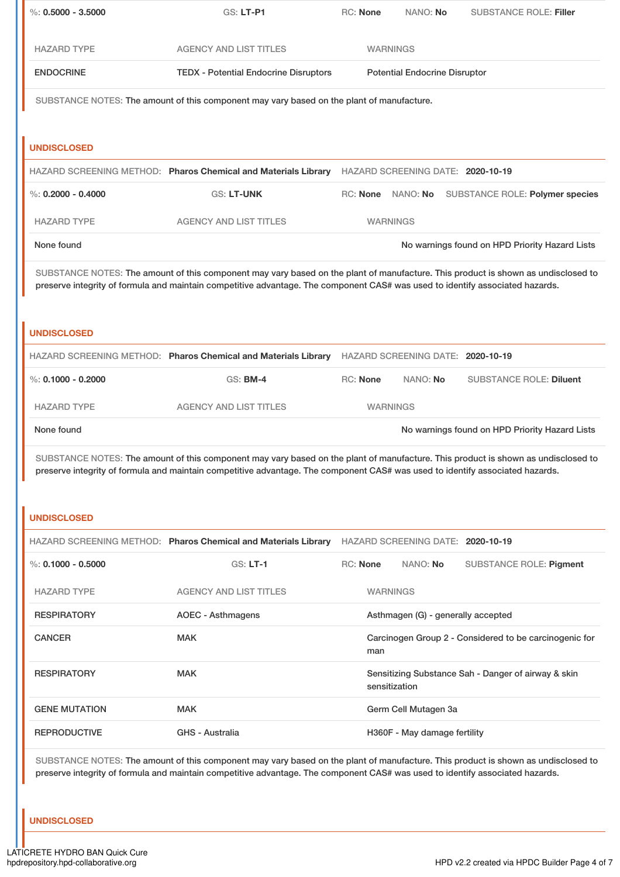| $\%$ : 0.5000 - 3.5000                                                                                                                                                                                                                                             | <b>GS: LT-P1</b>                                                                                                                  | RC: None                                                      | NANO: No                             | <b>SUBSTANCE ROLE: Filler</b>                       |  |
|--------------------------------------------------------------------------------------------------------------------------------------------------------------------------------------------------------------------------------------------------------------------|-----------------------------------------------------------------------------------------------------------------------------------|---------------------------------------------------------------|--------------------------------------|-----------------------------------------------------|--|
| <b>HAZARD TYPE</b>                                                                                                                                                                                                                                                 | <b>AGENCY AND LIST TITLES</b>                                                                                                     |                                                               | <b>WARNINGS</b>                      |                                                     |  |
| <b>ENDOCRINE</b>                                                                                                                                                                                                                                                   | <b>TEDX - Potential Endocrine Disruptors</b>                                                                                      |                                                               | <b>Potential Endocrine Disruptor</b> |                                                     |  |
| SUBSTANCE NOTES: The amount of this component may vary based on the plant of manufacture.                                                                                                                                                                          |                                                                                                                                   |                                                               |                                      |                                                     |  |
|                                                                                                                                                                                                                                                                    |                                                                                                                                   |                                                               |                                      |                                                     |  |
| <b>UNDISCLOSED</b>                                                                                                                                                                                                                                                 |                                                                                                                                   |                                                               |                                      |                                                     |  |
|                                                                                                                                                                                                                                                                    | HAZARD SCREENING METHOD: Pharos Chemical and Materials Library HAZARD SCREENING DATE: 2020-10-19                                  |                                                               |                                      |                                                     |  |
| %: $0.2000 - 0.4000$                                                                                                                                                                                                                                               | <b>GS: LT-UNK</b>                                                                                                                 |                                                               |                                      | RC: None NANO: No SUBSTANCE ROLE: Polymer species   |  |
| <b>HAZARD TYPE</b>                                                                                                                                                                                                                                                 | <b>AGENCY AND LIST TITLES</b>                                                                                                     |                                                               | <b>WARNINGS</b>                      |                                                     |  |
| None found                                                                                                                                                                                                                                                         |                                                                                                                                   |                                                               |                                      | No warnings found on HPD Priority Hazard Lists      |  |
|                                                                                                                                                                                                                                                                    | SUBSTANCE NOTES: The amount of this component may vary based on the plant of manufacture. This product is shown as undisclosed to |                                                               |                                      |                                                     |  |
|                                                                                                                                                                                                                                                                    | preserve integrity of formula and maintain competitive advantage. The component CAS# was used to identify associated hazards.     |                                                               |                                      |                                                     |  |
| <b>UNDISCLOSED</b>                                                                                                                                                                                                                                                 |                                                                                                                                   |                                                               |                                      |                                                     |  |
|                                                                                                                                                                                                                                                                    |                                                                                                                                   |                                                               |                                      |                                                     |  |
|                                                                                                                                                                                                                                                                    | HAZARD SCREENING METHOD: Pharos Chemical and Materials Library HAZARD SCREENING DATE: 2020-10-19                                  |                                                               |                                      |                                                     |  |
| %: $0.1000 - 0.2000$                                                                                                                                                                                                                                               | <b>GS: BM-4</b>                                                                                                                   | <b>RC: None</b>                                               | NANO: No                             | <b>SUBSTANCE ROLE: Diluent</b>                      |  |
| <b>HAZARD TYPE</b>                                                                                                                                                                                                                                                 | <b>AGENCY AND LIST TITLES</b>                                                                                                     |                                                               | <b>WARNINGS</b>                      |                                                     |  |
| None found                                                                                                                                                                                                                                                         |                                                                                                                                   |                                                               |                                      | No warnings found on HPD Priority Hazard Lists      |  |
| SUBSTANCE NOTES: The amount of this component may vary based on the plant of manufacture. This product is shown as undisclosed to<br>preserve integrity of formula and maintain competitive advantage. The component CAS# was used to identify associated hazards. |                                                                                                                                   |                                                               |                                      |                                                     |  |
|                                                                                                                                                                                                                                                                    |                                                                                                                                   |                                                               |                                      |                                                     |  |
| <b>UNDISCLOSED</b>                                                                                                                                                                                                                                                 |                                                                                                                                   |                                                               |                                      |                                                     |  |
|                                                                                                                                                                                                                                                                    | HAZARD SCREENING METHOD: Pharos Chemical and Materials Library HAZARD SCREENING DATE: 2020-10-19                                  |                                                               |                                      |                                                     |  |
| $\%$ : 0.1000 - 0.5000                                                                                                                                                                                                                                             | $GS: LT-1$                                                                                                                        | RC: None                                                      | NANO: No                             | <b>SUBSTANCE ROLE: Pigment</b>                      |  |
| <b>HAZARD TYPE</b>                                                                                                                                                                                                                                                 | <b>AGENCY AND LIST TITLES</b>                                                                                                     |                                                               | <b>WARNINGS</b>                      |                                                     |  |
| <b>RESPIRATORY</b>                                                                                                                                                                                                                                                 | <b>AOEC - Asthmagens</b>                                                                                                          |                                                               | Asthmagen (G) - generally accepted   |                                                     |  |
| <b>CANCER</b>                                                                                                                                                                                                                                                      | <b>MAK</b>                                                                                                                        | Carcinogen Group 2 - Considered to be carcinogenic for<br>man |                                      |                                                     |  |
| <b>RESPIRATORY</b>                                                                                                                                                                                                                                                 | <b>MAK</b>                                                                                                                        |                                                               | sensitization                        | Sensitizing Substance Sah - Danger of airway & skin |  |
| <b>GENE MUTATION</b>                                                                                                                                                                                                                                               | <b>MAK</b>                                                                                                                        |                                                               | Germ Cell Mutagen 3a                 |                                                     |  |
| <b>REPRODUCTIVE</b>                                                                                                                                                                                                                                                | <b>GHS - Australia</b>                                                                                                            |                                                               | H360F - May damage fertility         |                                                     |  |
|                                                                                                                                                                                                                                                                    |                                                                                                                                   |                                                               |                                      |                                                     |  |

SUBSTANCE NOTES: The amount of this component may vary based on the plant of manufacture. This product is shown as undisclosed to preserve integrity of formula and maintain competitive advantage. The component CAS# was used to identify associated hazards.

## **UNDISCLOSED**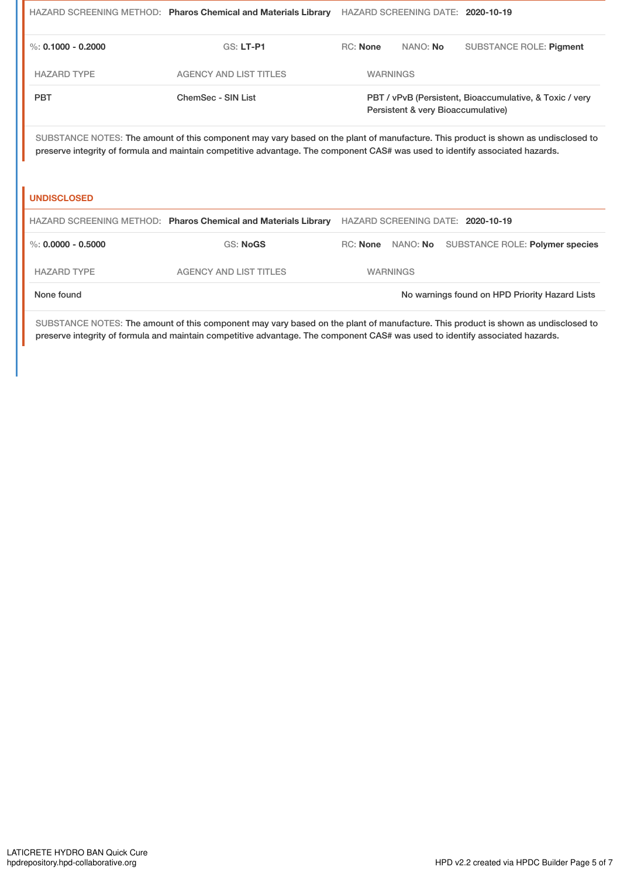|                      | HAZARD SCREENING METHOD: Pharos Chemical and Materials Library                                                                                                                                                                                                     |                 |                                                | HAZARD SCREENING DATE: 2020-10-19                                                             |
|----------------------|--------------------------------------------------------------------------------------------------------------------------------------------------------------------------------------------------------------------------------------------------------------------|-----------------|------------------------------------------------|-----------------------------------------------------------------------------------------------|
| %: $0.1000 - 0.2000$ | <b>GS: LT-P1</b>                                                                                                                                                                                                                                                   | <b>RC: None</b> | NANO: No                                       | <b>SUBSTANCE ROLE: Pigment</b>                                                                |
| <b>HAZARD TYPE</b>   | <b>AGENCY AND LIST TITLES</b>                                                                                                                                                                                                                                      |                 | <b>WARNINGS</b>                                |                                                                                               |
| <b>PBT</b>           | ChemSec - SIN List                                                                                                                                                                                                                                                 |                 |                                                | PBT / vPvB (Persistent, Bioaccumulative, & Toxic / very<br>Persistent & very Bioaccumulative) |
| <b>UNDISCLOSED</b>   | SUBSTANCE NOTES: The amount of this component may vary based on the plant of manufacture. This product is shown as undisclosed to<br>preserve integrity of formula and maintain competitive advantage. The component CAS# was used to identify associated hazards. |                 |                                                |                                                                                               |
|                      |                                                                                                                                                                                                                                                                    |                 |                                                |                                                                                               |
|                      | HAZARD SCREENING METHOD: Pharos Chemical and Materials Library                                                                                                                                                                                                     |                 |                                                | HAZARD SCREENING DATE: 2020-10-19                                                             |
| %: $0.0000 - 0.5000$ | <b>GS: NoGS</b>                                                                                                                                                                                                                                                    |                 | RC: None NANO: No                              | <b>SUBSTANCE ROLE: Polymer species</b>                                                        |
| <b>HAZARD TYPE</b>   | <b>AGENCY AND LIST TITLES</b>                                                                                                                                                                                                                                      |                 | <b>WARNINGS</b>                                |                                                                                               |
| None found           |                                                                                                                                                                                                                                                                    |                 | No warnings found on HPD Priority Hazard Lists |                                                                                               |

SUBSTANCE NOTES: The amount of this component may vary based on the plant of manufacture. This product is shown as undisclosed to preserve integrity of formula and maintain competitive advantage. The component CAS# was used to identify associated hazards.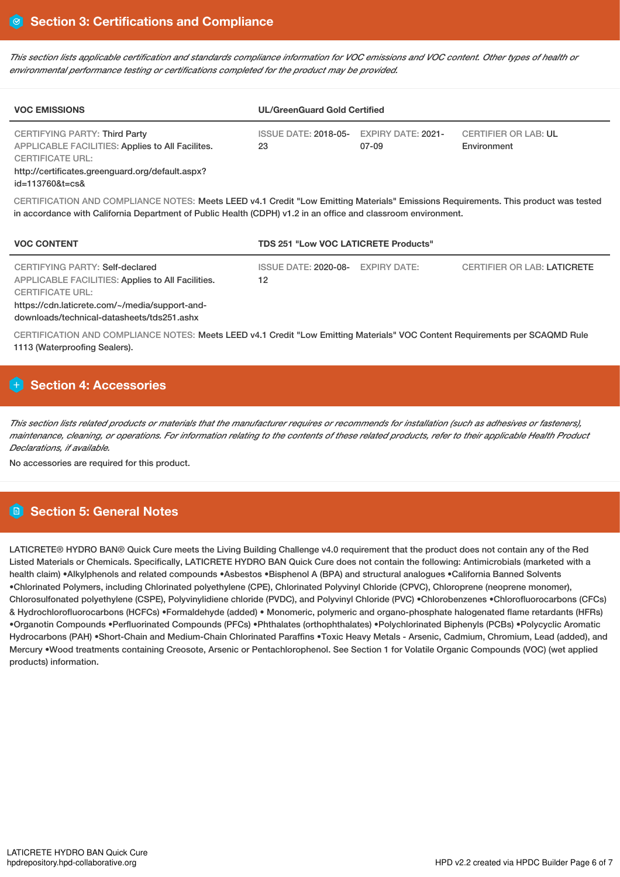This section lists applicable certification and standards compliance information for VOC emissions and VOC content. Other types of health or *environmental performance testing or certifications completed for the product may be provided.*

| <b>VOC EMISSIONS</b>                                                                                                                                                         | <b>UL/GreenGuard Gold Certified</b> |                             |                                            |  |  |
|------------------------------------------------------------------------------------------------------------------------------------------------------------------------------|-------------------------------------|-----------------------------|--------------------------------------------|--|--|
| CERTIFYING PARTY: Third Party<br>APPLICABLE FACILITIES: Applies to All Facilites.<br>CERTIFICATE URL:<br>http://certificates.greenguard.org/default.aspx?<br>id=113760&t=cs& | <b>ISSUE DATE: 2018-05-</b><br>23   | EXPIRY DATE: 2021-<br>07-09 | <b>CERTIFIER OR LAB: UL</b><br>Environment |  |  |

CERTIFICATION AND COMPLIANCE NOTES: Meets LEED v4.1 Credit "Low Emitting Materials" Emissions Requirements. This product was tested in accordance with California Department of Public Health (CDPH) v1.2 in an office and classroom environment.

| <b>VOC CONTENT</b>                                                                                                                                                                                                     | TDS 251 "Low VOC LATICRETE Products"    |                                    |  |  |  |
|------------------------------------------------------------------------------------------------------------------------------------------------------------------------------------------------------------------------|-----------------------------------------|------------------------------------|--|--|--|
| <b>CERTIFYING PARTY: Self-declared</b><br>APPLICABLE FACILITIES: Applies to All Facilities.<br><b>CERTIFICATE URL:</b><br>https://cdn.laticrete.com/~/media/support-and-<br>downloads/technical-datasheets/tds251.ashx | ISSUE DATE: 2020-08- EXPIRY DATE:<br>12 | <b>CERTIFIER OR LAB: LATICRETE</b> |  |  |  |

CERTIFICATION AND COMPLIANCE NOTES: Meets LEED v4.1 Credit "Low Emitting Materials" VOC Content Requirements per SCAQMD Rule 1113 (Waterproofing Sealers).

# **H** Section 4: Accessories

This section lists related products or materials that the manufacturer requires or recommends for installation (such as adhesives or fasteners), maintenance, cleaning, or operations. For information relating to the contents of these related products, refer to their applicable Health Product *Declarations, if available.*

No accessories are required for this product.

# **Section 5: General Notes**

LATICRETE® HYDRO BAN® Quick Cure meets the Living Building Challenge v4.0 requirement that the product does not contain any of the Red Listed Materials or Chemicals. Specifically, LATICRETE HYDRO BAN Quick Cure does not contain the following: Antimicrobials (marketed with a health claim) •Alkylphenols and related compounds •Asbestos •Bisphenol A (BPA) and structural analogues •California Banned Solvents •Chlorinated Polymers, including Chlorinated polyethylene (CPE), Chlorinated Polyvinyl Chloride (CPVC), Chloroprene (neoprene monomer), Chlorosulfonated polyethylene (CSPE), Polyvinylidiene chloride (PVDC), and Polyvinyl Chloride (PVC) •Chlorobenzenes •Chlorofluorocarbons (CFCs) & Hydrochlorofluorocarbons (HCFCs) •Formaldehyde (added) • Monomeric, polymeric and organo-phosphate halogenated flame retardants (HFRs) •Organotin Compounds •Perfluorinated Compounds (PFCs) •Phthalates (orthophthalates) •Polychlorinated Biphenyls (PCBs) •Polycyclic Aromatic Hydrocarbons (PAH) •Short-Chain and Medium-Chain Chlorinated Paraffins •Toxic Heavy Metals - Arsenic, Cadmium, Chromium, Lead (added), and Mercury •Wood treatments containing Creosote, Arsenic or Pentachlorophenol. See Section 1 for Volatile Organic Compounds (VOC) (wet applied products) information.